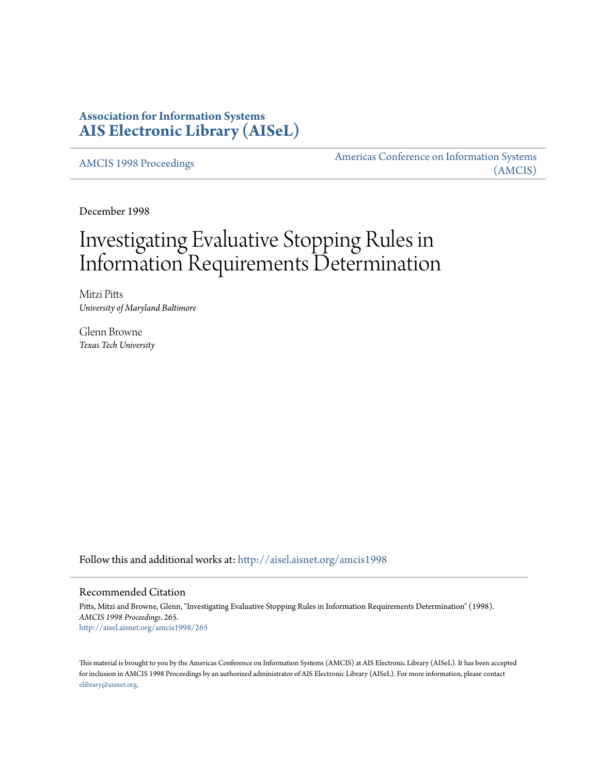## **Association for Information Systems [AIS Electronic Library \(AISeL\)](http://aisel.aisnet.org?utm_source=aisel.aisnet.org%2Famcis1998%2F265&utm_medium=PDF&utm_campaign=PDFCoverPages)**

[AMCIS 1998 Proceedings](http://aisel.aisnet.org/amcis1998?utm_source=aisel.aisnet.org%2Famcis1998%2F265&utm_medium=PDF&utm_campaign=PDFCoverPages)

[Americas Conference on Information Systems](http://aisel.aisnet.org/amcis?utm_source=aisel.aisnet.org%2Famcis1998%2F265&utm_medium=PDF&utm_campaign=PDFCoverPages) [\(AMCIS\)](http://aisel.aisnet.org/amcis?utm_source=aisel.aisnet.org%2Famcis1998%2F265&utm_medium=PDF&utm_campaign=PDFCoverPages)

December 1998

# Investigating Evaluative Stopping Rules in Information Requirements Determination

Mitzi Pitts *University of Maryland Baltimore*

Glenn Browne *Texas Tech University*

Follow this and additional works at: [http://aisel.aisnet.org/amcis1998](http://aisel.aisnet.org/amcis1998?utm_source=aisel.aisnet.org%2Famcis1998%2F265&utm_medium=PDF&utm_campaign=PDFCoverPages)

#### Recommended Citation

Pitts, Mitzi and Browne, Glenn, "Investigating Evaluative Stopping Rules in Information Requirements Determination" (1998). *AMCIS 1998 Proceedings*. 265. [http://aisel.aisnet.org/amcis1998/265](http://aisel.aisnet.org/amcis1998/265?utm_source=aisel.aisnet.org%2Famcis1998%2F265&utm_medium=PDF&utm_campaign=PDFCoverPages)

This material is brought to you by the Americas Conference on Information Systems (AMCIS) at AIS Electronic Library (AISeL). It has been accepted for inclusion in AMCIS 1998 Proceedings by an authorized administrator of AIS Electronic Library (AISeL). For more information, please contact [elibrary@aisnet.org.](mailto:elibrary@aisnet.org%3E)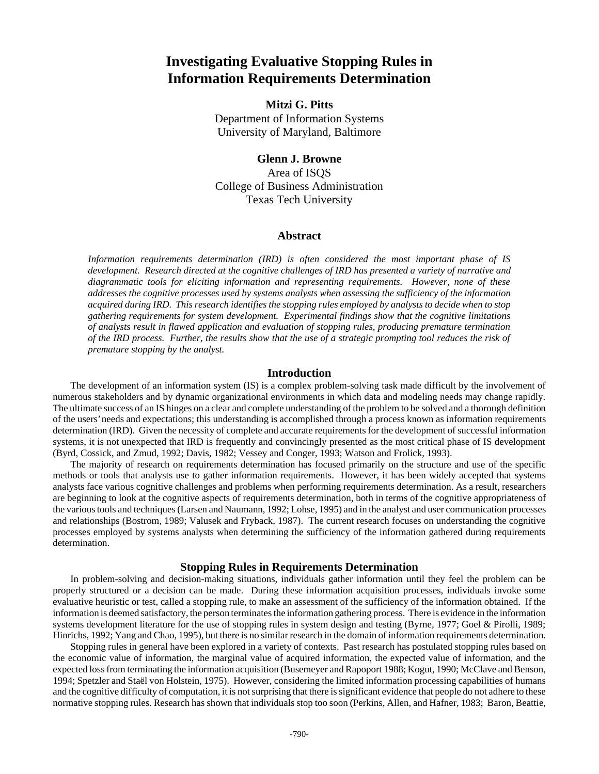## **Investigating Evaluative Stopping Rules in Information Requirements Determination**

### **Mitzi G. Pitts**

Department of Information Systems University of Maryland, Baltimore

#### **Glenn J. Browne**

Area of ISQS College of Business Administration Texas Tech University

#### **Abstract**

*Information requirements determination (IRD) is often considered the most important phase of IS development. Research directed at the cognitive challenges of IRD has presented a variety of narrative and diagrammatic tools for eliciting information and representing requirements. However, none of these addresses the cognitive processes used by systems analysts when assessing the sufficiency of the information acquired during IRD. This research identifies the stopping rules employed by analysts to decide when to stop gathering requirements for system development. Experimental findings show that the cognitive limitations of analysts result in flawed application and evaluation of stopping rules, producing premature termination of the IRD process. Further, the results show that the use of a strategic prompting tool reduces the risk of premature stopping by the analyst.*

#### **Introduction**

The development of an information system (IS) is a complex problem-solving task made difficult by the involvement of numerous stakeholders and by dynamic organizational environments in which data and modeling needs may change rapidly. The ultimate success of an IS hinges on a clear and complete understanding of the problem to be solved and a thorough definition of the users' needs and expectations; this understanding is accomplished through a process known as information requirements determination (IRD). Given the necessity of complete and accurate requirements for the development of successful information systems, it is not unexpected that IRD is frequently and convincingly presented as the most critical phase of IS development (Byrd, Cossick, and Zmud, 1992; Davis, 1982; Vessey and Conger, 1993; Watson and Frolick, 1993).

The majority of research on requirements determination has focused primarily on the structure and use of the specific methods or tools that analysts use to gather information requirements. However, it has been widely accepted that systems analysts face various cognitive challenges and problems when performing requirements determination. As a result, researchers are beginning to look at the cognitive aspects of requirements determination, both in terms of the cognitive appropriateness of the various tools and techniques (Larsen and Naumann, 1992; Lohse, 1995) and in the analyst and user communication processes and relationships (Bostrom, 1989; Valusek and Fryback, 1987). The current research focuses on understanding the cognitive processes employed by systems analysts when determining the sufficiency of the information gathered during requirements determination.

#### **Stopping Rules in Requirements Determination**

In problem-solving and decision-making situations, individuals gather information until they feel the problem can be properly structured or a decision can be made. During these information acquisition processes, individuals invoke some evaluative heuristic or test, called a stopping rule, to make an assessment of the sufficiency of the information obtained. If the information is deemed satisfactory, the person terminates the information gathering process. There is evidence in the information systems development literature for the use of stopping rules in system design and testing (Byrne, 1977; Goel & Pirolli, 1989; Hinrichs, 1992; Yang and Chao, 1995), but there is no similar research in the domain of information requirements determination.

Stopping rules in general have been explored in a variety of contexts. Past research has postulated stopping rules based on the economic value of information, the marginal value of acquired information, the expected value of information, and the expected loss from terminating the information acquisition (Busemeyer and Rapoport 1988; Kogut, 1990; McClave and Benson, 1994; Spetzler and Staël von Holstein, 1975). However, considering the limited information processing capabilities of humans and the cognitive difficulty of computation, it is not surprising that there is significant evidence that people do not adhere to these normative stopping rules. Research has shown that individuals stop too soon (Perkins, Allen, and Hafner, 1983; Baron, Beattie,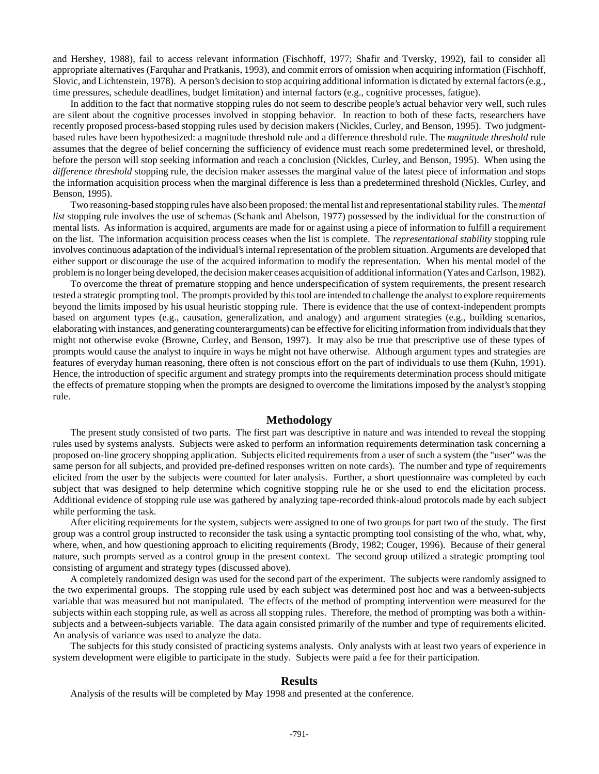and Hershey, 1988), fail to access relevant information (Fischhoff, 1977; Shafir and Tversky, 1992), fail to consider all appropriate alternatives (Farquhar and Pratkanis, 1993), and commit errors of omission when acquiring information (Fischhoff, Slovic, and Lichtenstein, 1978). A person's decision to stop acquiring additional information is dictated by external factors (e.g., time pressures, schedule deadlines, budget limitation) and internal factors (e.g., cognitive processes, fatigue).

In addition to the fact that normative stopping rules do not seem to describe people's actual behavior very well, such rules are silent about the cognitive processes involved in stopping behavior. In reaction to both of these facts, researchers have recently proposed process-based stopping rules used by decision makers (Nickles, Curley, and Benson, 1995). Two judgmentbased rules have been hypothesized: a magnitude threshold rule and a difference threshold rule. The *magnitude threshold* rule assumes that the degree of belief concerning the sufficiency of evidence must reach some predetermined level, or threshold, before the person will stop seeking information and reach a conclusion (Nickles, Curley, and Benson, 1995). When using the *difference threshold* stopping rule, the decision maker assesses the marginal value of the latest piece of information and stops the information acquisition process when the marginal difference is less than a predetermined threshold (Nickles, Curley, and Benson, 1995).

Two reasoning-based stopping rules have also been proposed: the mental list and representational stability rules. The *mental list* stopping rule involves the use of schemas (Schank and Abelson, 1977) possessed by the individual for the construction of mental lists. As information is acquired, arguments are made for or against using a piece of information to fulfill a requirement on the list. The information acquisition process ceases when the list is complete. The *representational stability* stopping rule involves continuous adaptation of the individual's internal representation of the problem situation. Arguments are developed that either support or discourage the use of the acquired information to modify the representation. When his mental model of the problem is no longer being developed, the decision maker ceases acquisition of additional information (Yates and Carlson, 1982).

To overcome the threat of premature stopping and hence underspecification of system requirements, the present research tested a strategic prompting tool. The prompts provided by this tool are intended to challenge the analyst to explore requirements beyond the limits imposed by his usual heuristic stopping rule. There is evidence that the use of context-independent prompts based on argument types (e.g., causation, generalization, and analogy) and argument strategies (e.g., building scenarios, elaborating with instances, and generating counterarguments) can be effective for eliciting information from individuals that they might not otherwise evoke (Browne, Curley, and Benson, 1997). It may also be true that prescriptive use of these types of prompts would cause the analyst to inquire in ways he might not have otherwise. Although argument types and strategies are features of everyday human reasoning, there often is not conscious effort on the part of individuals to use them (Kuhn, 1991). Hence, the introduction of specific argument and strategy prompts into the requirements determination process should mitigate the effects of premature stopping when the prompts are designed to overcome the limitations imposed by the analyst's stopping rule.

#### **Methodology**

The present study consisted of two parts. The first part was descriptive in nature and was intended to reveal the stopping rules used by systems analysts. Subjects were asked to perform an information requirements determination task concerning a proposed on-line grocery shopping application. Subjects elicited requirements from a user of such a system (the "user" was the same person for all subjects, and provided pre-defined responses written on note cards). The number and type of requirements elicited from the user by the subjects were counted for later analysis. Further, a short questionnaire was completed by each subject that was designed to help determine which cognitive stopping rule he or she used to end the elicitation process. Additional evidence of stopping rule use was gathered by analyzing tape-recorded think-aloud protocols made by each subject while performing the task.

After eliciting requirements for the system, subjects were assigned to one of two groups for part two of the study. The first group was a control group instructed to reconsider the task using a syntactic prompting tool consisting of the who, what, why, where, when, and how questioning approach to eliciting requirements (Brody, 1982; Couger, 1996). Because of their general nature, such prompts served as a control group in the present context. The second group utilized a strategic prompting tool consisting of argument and strategy types (discussed above).

A completely randomized design was used for the second part of the experiment. The subjects were randomly assigned to the two experimental groups. The stopping rule used by each subject was determined post hoc and was a between-subjects variable that was measured but not manipulated. The effects of the method of prompting intervention were measured for the subjects within each stopping rule, as well as across all stopping rules. Therefore, the method of prompting was both a withinsubjects and a between-subjects variable. The data again consisted primarily of the number and type of requirements elicited. An analysis of variance was used to analyze the data.

The subjects for this study consisted of practicing systems analysts. Only analysts with at least two years of experience in system development were eligible to participate in the study. Subjects were paid a fee for their participation.

#### **Results**

Analysis of the results will be completed by May 1998 and presented at the conference.